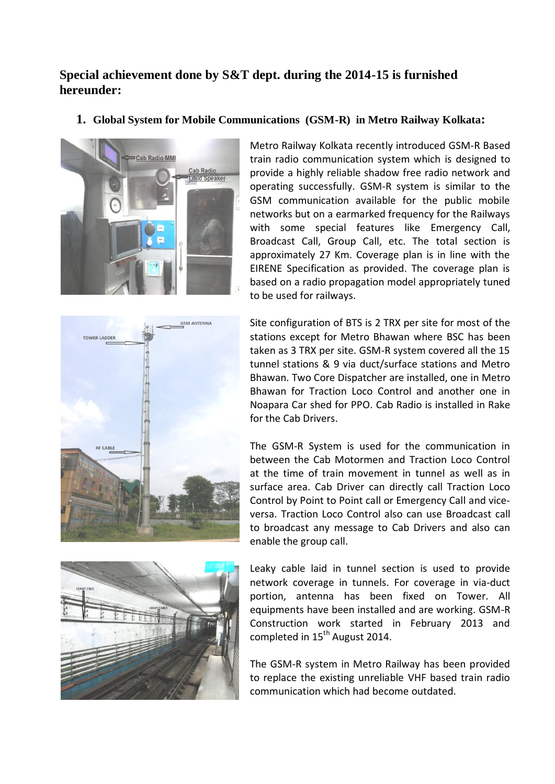## **Special achievement done by S&T dept. during the 2014-15 is furnished hereunder:**

**1. Global System for Mobile Communications (GSM-R) in Metro Railway Kolkata:**







Site configuration of BTS is 2 TRX per site for most of the stations except for Metro Bhawan where BSC has been taken as 3 TRX per site. GSM-R system covered all the 15 tunnel stations & 9 via duct/surface stations and Metro Bhawan. Two Core Dispatcher are installed, one in Metro Bhawan for Traction Loco Control and another one in Noapara Car shed for PPO. Cab Radio is installed in Rake for the Cab Drivers.

The GSM-R System is used for the communication in between the Cab Motormen and Traction Loco Control at the time of train movement in tunnel as well as in surface area. Cab Driver can directly call Traction Loco Control by Point to Point call or Emergency Call and viceversa. Traction Loco Control also can use Broadcast call to broadcast any message to Cab Drivers and also can enable the group call.



Leaky cable laid in tunnel section is used to provide network coverage in tunnels. For coverage in via-duct portion, antenna has been fixed on Tower. All equipments have been installed and are working. GSM-R Construction work started in February 2013 and completed in  $15<sup>th</sup>$  August 2014.

The GSM-R system in Metro Railway has been provided to replace the existing unreliable VHF based train radio communication which had become outdated.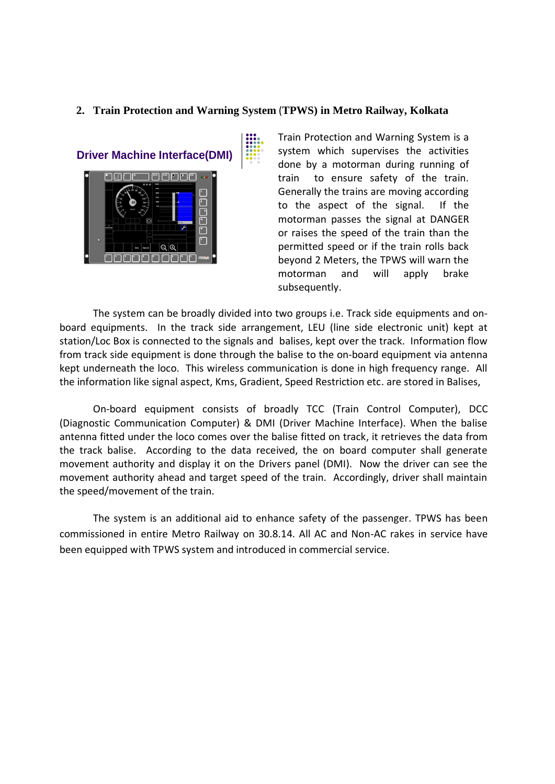## **2. Train Protection and Warning System** (**TPWS) in Metro Railway, Kolkata**





Train Protection and Warning System is a system which supervises the activities done by a motorman during running of train to ensure safety of the train. Generally the trains are moving according to the aspect of the signal. If the motorman passes the signal at DANGER or raises the speed of the train than the permitted speed or if the train rolls back beyond 2 Meters, the TPWS will warn the motorman and will apply brake subsequently.

The system can be broadly divided into two groups i.e. Track side equipments and onboard equipments. In the track side arrangement, LEU (line side electronic unit) kept at station/Loc Box is connected to the signals and balises, kept over the track. Information flow from track side equipment is done through the balise to the on-board equipment via antenna kept underneath the loco. This wireless communication is done in high frequency range. All the information like signal aspect, Kms, Gradient, Speed Restriction etc. are stored in Balises,

On-board equipment consists of broadly TCC (Train Control Computer), DCC (Diagnostic Communication Computer) & DMI (Driver Machine Interface). When the balise antenna fitted under the loco comes over the balise fitted on track, it retrieves the data from the track balise. According to the data received, the on board computer shall generate movement authority and display it on the Drivers panel (DMI). Now the driver can see the movement authority ahead and target speed of the train. Accordingly, driver shall maintain the speed/movement of the train.

The system is an additional aid to enhance safety of the passenger. TPWS has been commissioned in entire Metro Railway on 30.8.14. All AC and Non-AC rakes in service have been equipped with TPWS system and introduced in commercial service.